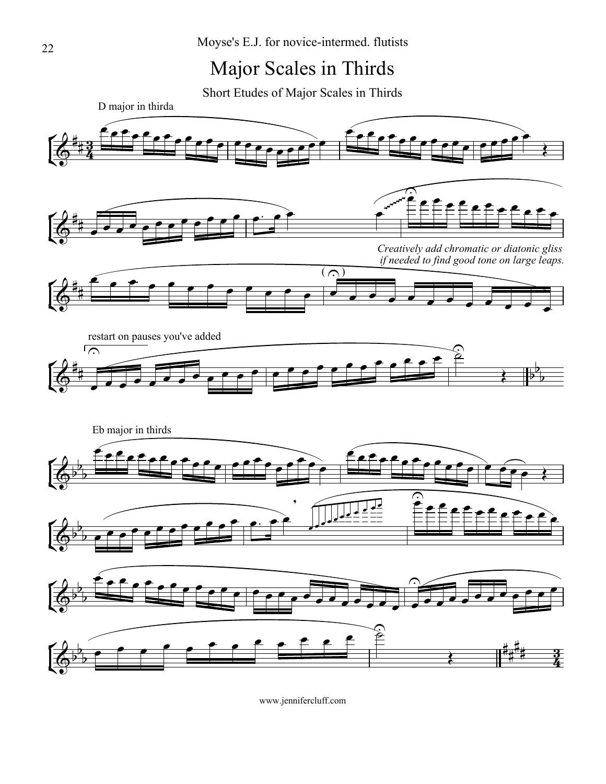## Major Scales in Thirds

Short Etudes of Major Scales in Thirds

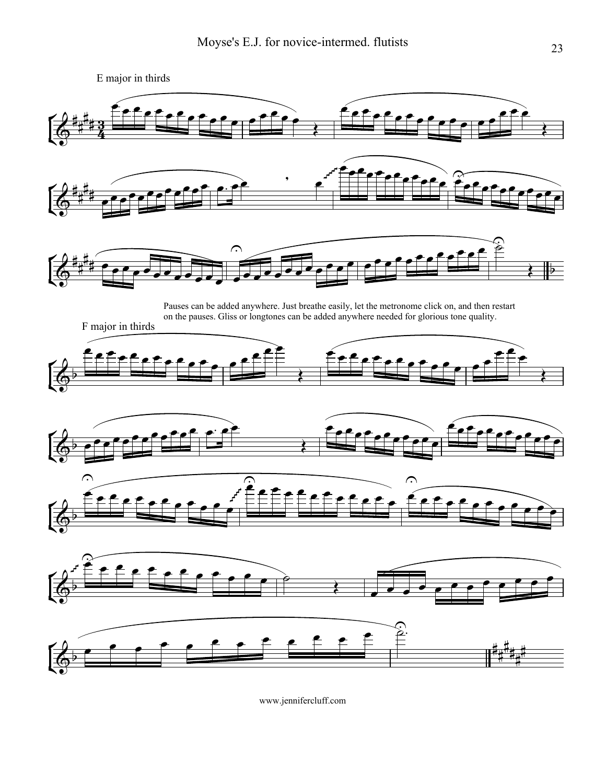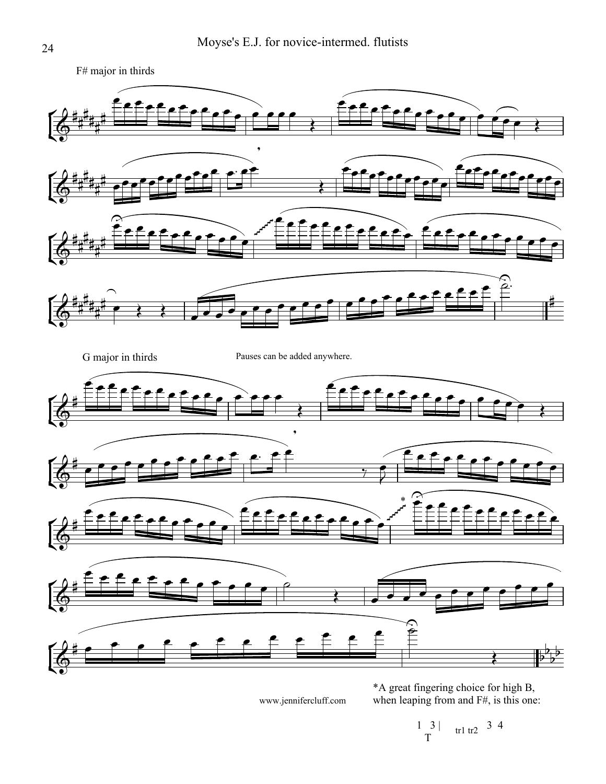

\*A great fingering choice for high B, when leaping from and F#, is this one:

 $1 \t3 \t\t tr1 tr2 \t3 4$  $\begin{array}{c} 1 \\ T \end{array}$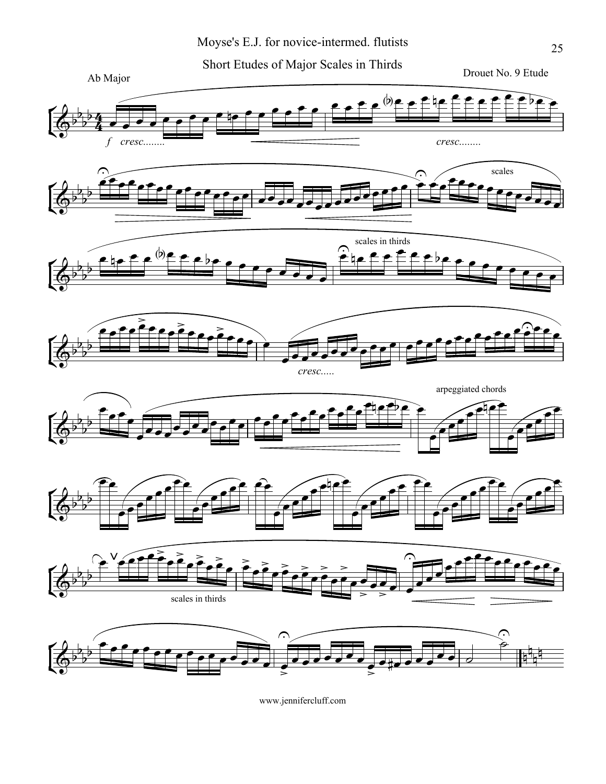Short Etudes of Major Scales in Thirds



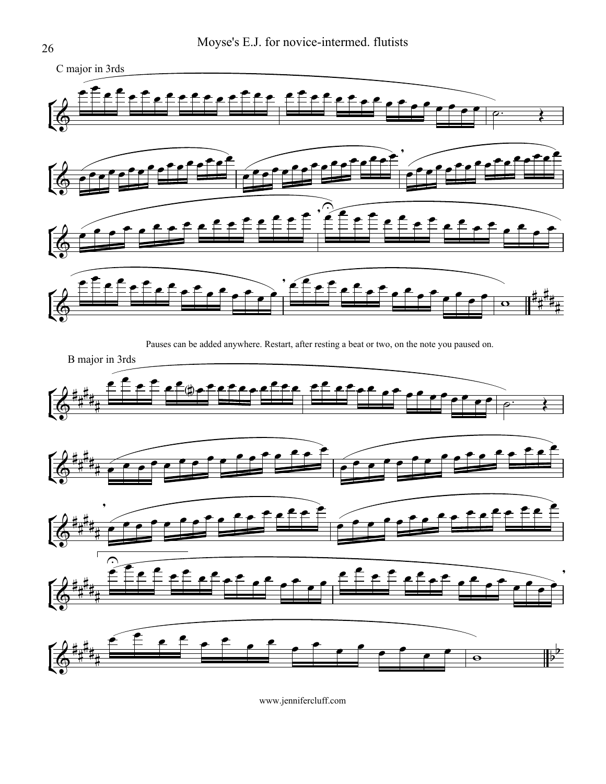

![](_page_4_Figure_2.jpeg)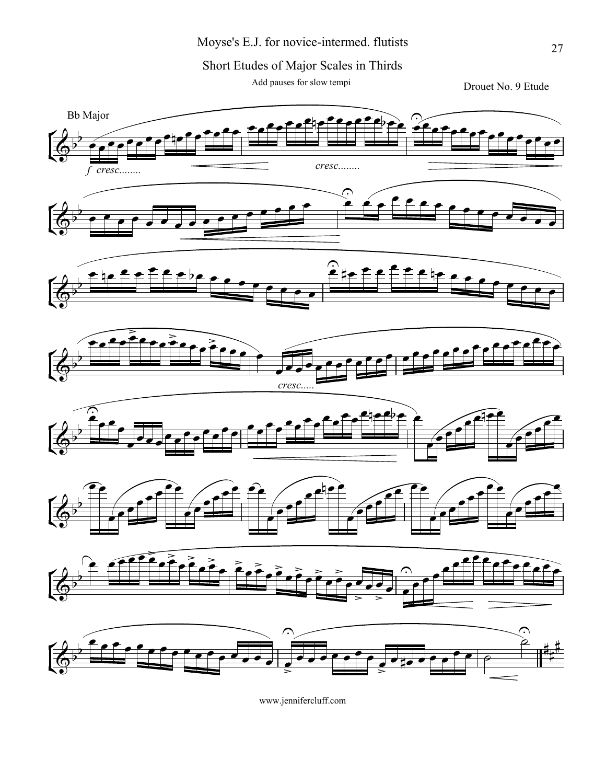Short Etudes of Major Scales in Thirds

Add pauses for slow tempi

Drouet No. 9 Etude

![](_page_5_Figure_4.jpeg)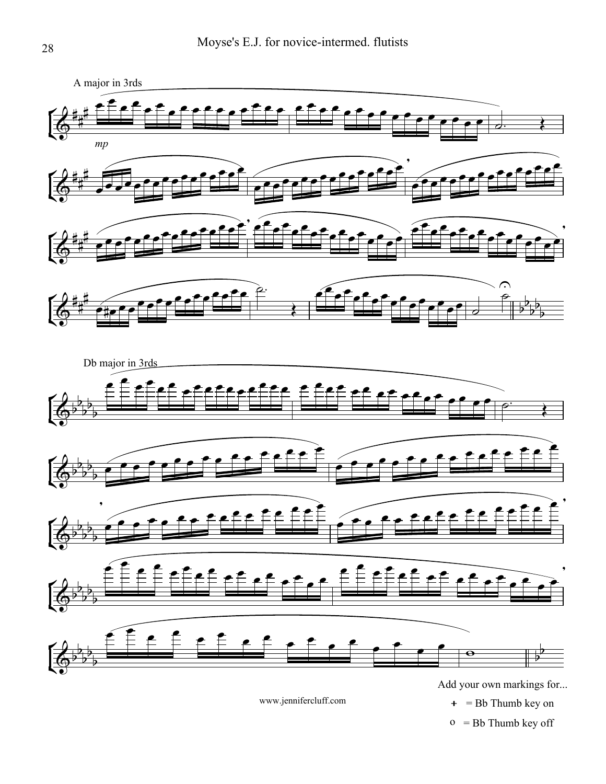![](_page_6_Figure_1.jpeg)

 $o = Bb$  Thumb key off  $+$  = Bb Thumb key on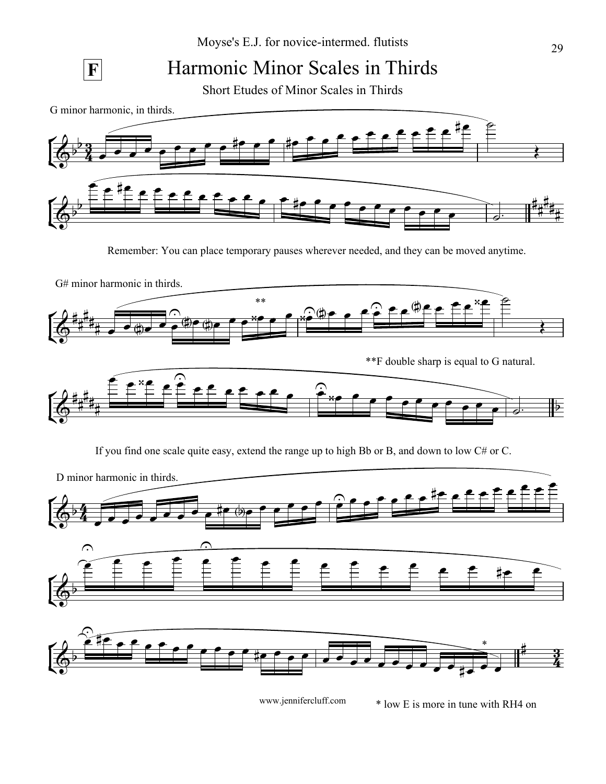![](_page_7_Figure_1.jpeg)

## **F** Harmonic Minor Scales in Thirds

Short Etudes of Minor Scales in Thirds

G minor harmonic, in thirds.

![](_page_7_Figure_5.jpeg)

Remember: You can place temporary pauses wherever needed, and they can be moved anytime.

![](_page_7_Figure_7.jpeg)

If you find one scale quite easy, extend the range up to high Bb or B, and down to low C# or C.

![](_page_7_Figure_9.jpeg)

<sup>\*</sup> low E is more in tune with RH4 on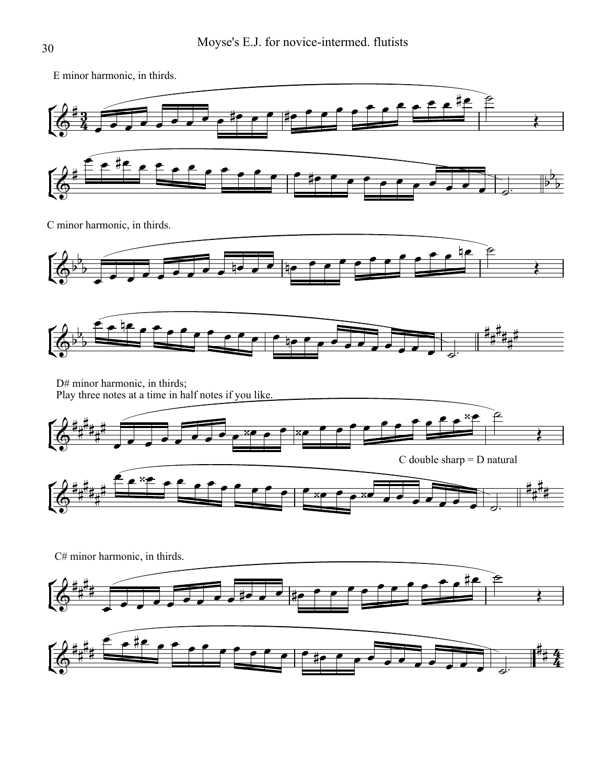E minor harmonic, in thirds.

![](_page_8_Figure_2.jpeg)

C minor harmonic, in thirds.

![](_page_8_Figure_4.jpeg)

![](_page_8_Figure_5.jpeg)

D# minor harmonic, in thirds; Play three notes at a time in half notes if you like.

零

![](_page_8_Figure_7.jpeg)

![](_page_8_Figure_8.jpeg)

![](_page_8_Figure_9.jpeg)

![](_page_8_Figure_10.jpeg)

 $\frac{4}{4}$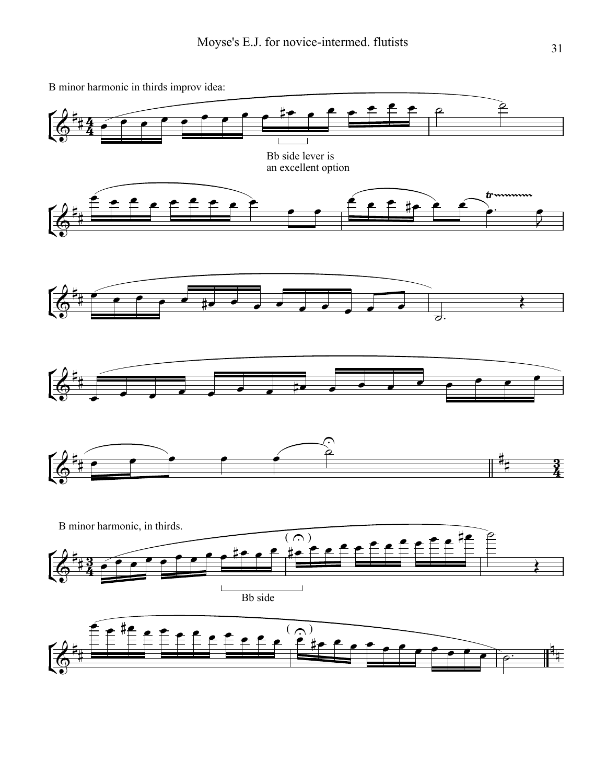![](_page_9_Figure_1.jpeg)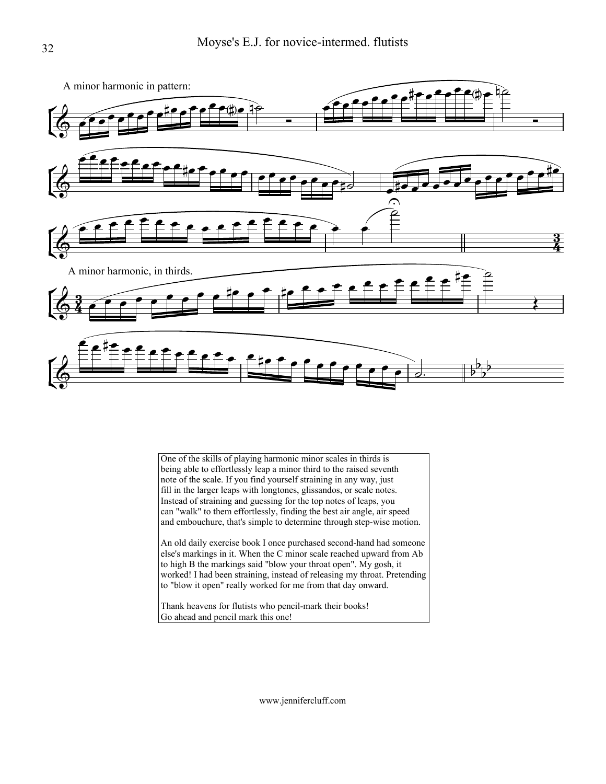![](_page_10_Figure_1.jpeg)

One of the skills of playing harmonic minor scales in thirds is being able to effortlessly leap a minor third to the raised seventh note of the scale. If you find yourself straining in any way, just fill in the larger leaps with longtones, glissandos, or scale notes. Instead of straining and guessing for the top notes of leaps, you can "walk" to them effortlessly, finding the best air angle, air speed and embouchure, that's simple to determine through step-wise motion.

An old daily exercise book I once purchased second-hand had someone else's markings in it. When the C minor scale reached upward from Ab to high B the markings said "blow your throat open". My gosh, it worked! I had been straining, instead of releasing my throat. Pretending to "blow it open" really worked for me from that day onward.

Thank heavens for flutists who pencil-mark their books! Go ahead and pencil mark this one!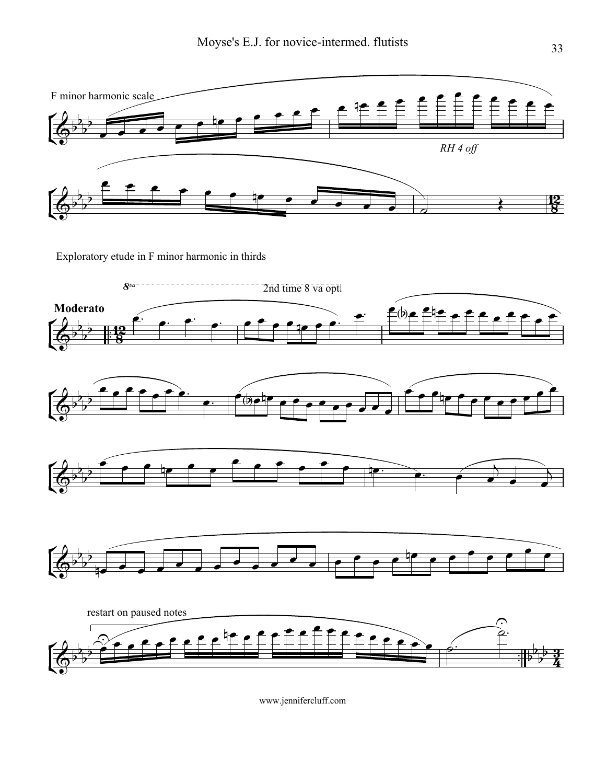![](_page_11_Figure_1.jpeg)

Exploratory etude in F minor harmonic in thirds

![](_page_11_Figure_3.jpeg)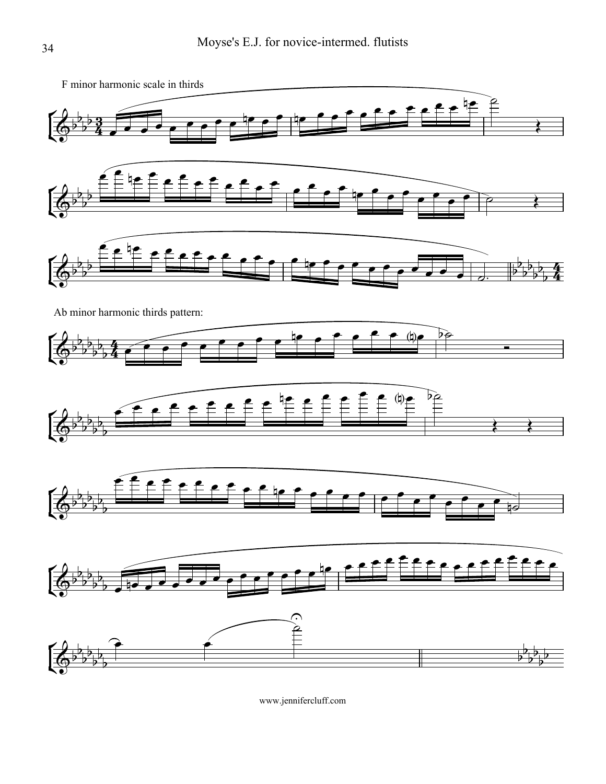![](_page_12_Figure_1.jpeg)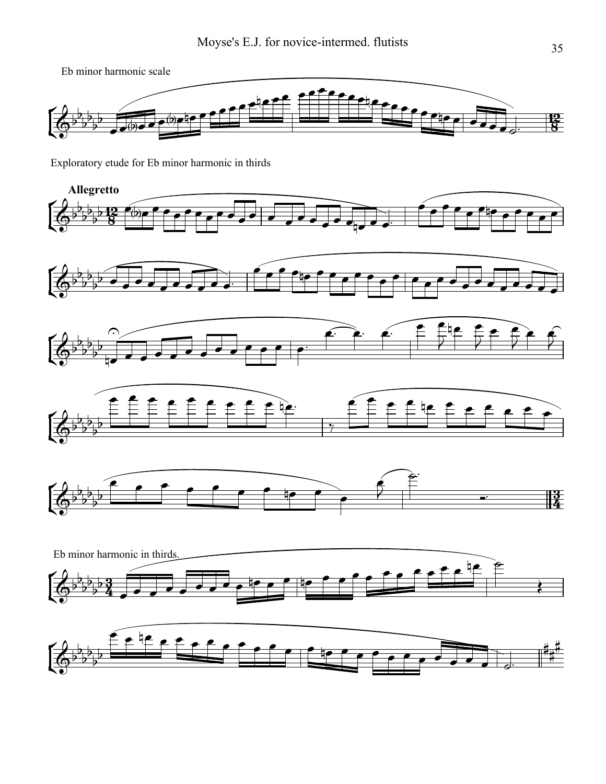Eb minor harmonic scale

![](_page_13_Figure_2.jpeg)

Exploratory etude for Eb minor harmonic in thirds

![](_page_13_Figure_4.jpeg)

![](_page_13_Figure_5.jpeg)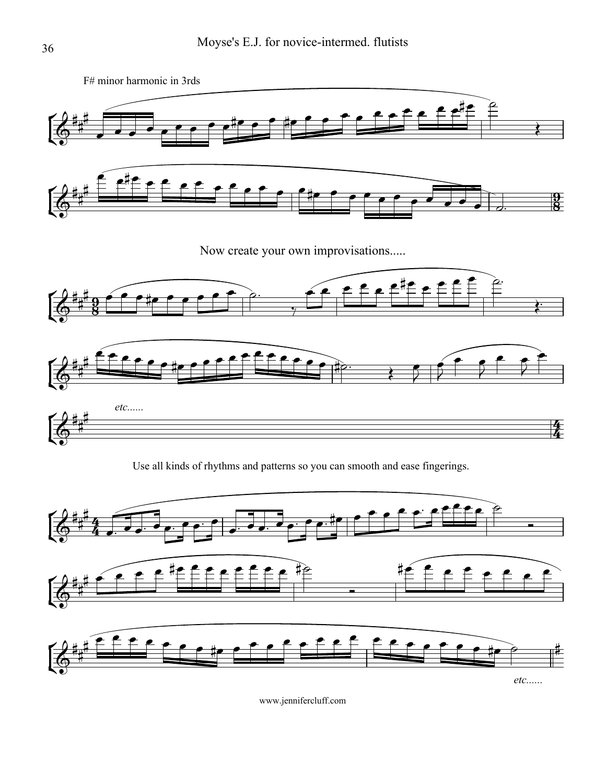![](_page_14_Figure_1.jpeg)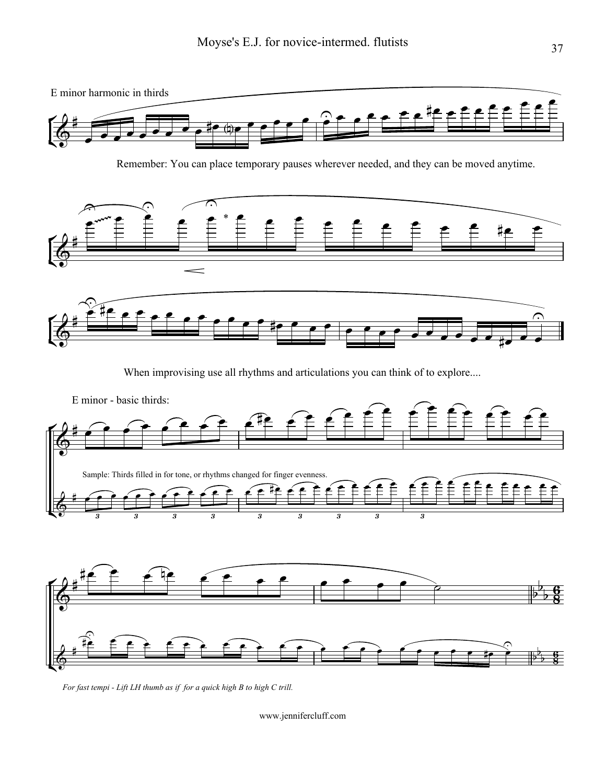![](_page_15_Figure_1.jpeg)

Remember: You can place temporary pauses wherever needed, and they can be moved anytime.

![](_page_15_Figure_3.jpeg)

![](_page_15_Figure_4.jpeg)

When improvising use all rhythms and articulations you can think of to explore....

![](_page_15_Figure_6.jpeg)

*For fast tempi - Lift LH thumb as if for a quick high B to high C trill.*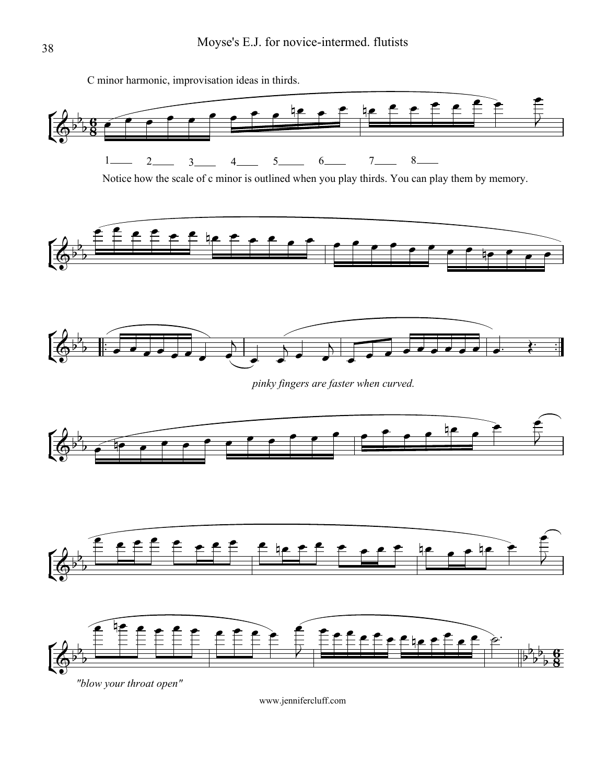![](_page_16_Figure_1.jpeg)